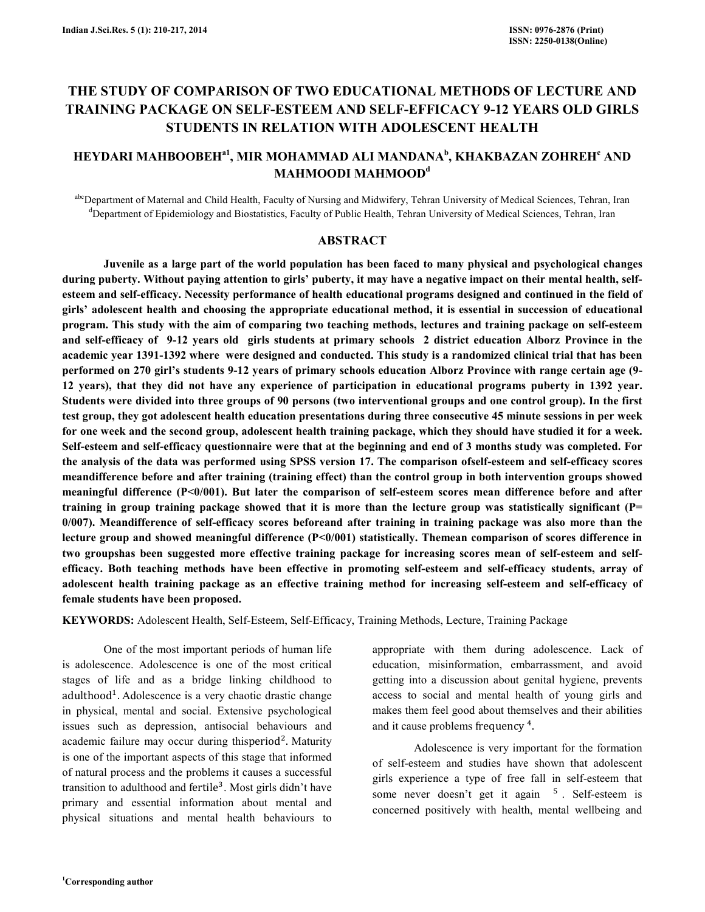# THE STUDY OF COMPARISON OF TWO EDUCATIONAL METHODS OF LECTURE AND TRAINING PACKAGE ON SELF-ESTEEM AND SELF-EFFICACY 9-12 YEARS OLD GIRLS STUDENTS IN RELATION WITH ADOLESCENT HEALTH

## HEYDARI MAHBOOBEH $^{\rm a1}$ , MIR MOHAMMAD ALI MANDANA $^{\rm b}$ , KHAKBAZAN ZOHREH $^{\rm c}$  AND MAHMOODI MAHMOOD<sup>d</sup>

abcDepartment of Maternal and Child Health, Faculty of Nursing and Midwifery, Tehran University of Medical Sciences, Tehran, Iran <sup>d</sup>Department of Epidemiology and Biostatistics, Faculty of Public Health, Tehran University of Medical Sciences, Tehran, Iran

## ABSTRACT

 Juvenile as a large part of the world population has been faced to many physical and psychological changes during puberty. Without paying attention to girls' puberty, it may have a negative impact on their mental health, selfesteem and self-efficacy. Necessity performance of health educational programs designed and continued in the field of girls' adolescent health and choosing the appropriate educational method, it is essential in succession of educational program. This study with the aim of comparing two teaching methods, lectures and training package on self-esteem and self-efficacy of 9-12 years old girls students at primary schools 2 district education Alborz Province in the academic year 1391-1392 where were designed and conducted. This study is a randomized clinical trial that has been performed on 270 girl's students 9-12 years of primary schools education Alborz Province with range certain age (9- 12 years), that they did not have any experience of participation in educational programs puberty in 1392 year. Students were divided into three groups of 90 persons (two interventional groups and one control group). In the first test group, they got adolescent health education presentations during three consecutive 45 minute sessions in per week for one week and the second group, adolescent health training package, which they should have studied it for a week. Self-esteem and self-efficacy questionnaire were that at the beginning and end of 3 months study was completed. For the analysis of the data was performed using SPSS version 17. The comparison ofself-esteem and self-efficacy scores meandifference before and after training (training effect) than the control group in both intervention groups showed meaningful difference  $(P<0/001)$ . But later the comparison of self-esteem scores mean difference before and after training in group training package showed that it is more than the lecture group was statistically significant (P= 0/007). Meandifference of self-efficacy scores beforeand after training in training package was also more than the lecture group and showed meaningful difference (P<0/001) statistically. Themean comparison of scores difference in two groupshas been suggested more effective training package for increasing scores mean of self-esteem and selfefficacy. Both teaching methods have been effective in promoting self-esteem and self-efficacy students, array of adolescent health training package as an effective training method for increasing self-esteem and self-efficacy of female students have been proposed.

KEYWORDS: Adolescent Health, Self-Esteem, Self-Efficacy, Training Methods, Lecture, Training Package

 One of the most important periods of human life is adolescence. Adolescence is one of the most critical stages of life and as a bridge linking childhood to adulthood<sup>1</sup>. Adolescence is a very chaotic drastic change in physical, mental and social. Extensive psychological issues such as depression, antisocial behaviours and academic failure may occur during thisperiod<sup>2</sup>. Maturity is one of the important aspects of this stage that informed of natural process and the problems it causes a successful transition to adulthood and fertile<sup>3</sup>. Most girls didn't have primary and essential information about mental and physical situations and mental health behaviours to

appropriate with them during adolescence. Lack of education, misinformation, embarrassment, and avoid getting into a discussion about genital hygiene, prevents access to social and mental health of young girls and makes them feel good about themselves and their abilities and it cause problems frequency<sup>4</sup>.

 Adolescence is very important for the formation of self-esteem and studies have shown that adolescent girls experience a type of free fall in self-esteem that some never doesn't get it again <sup>5</sup>. Self-esteem is concerned positively with health, mental wellbeing and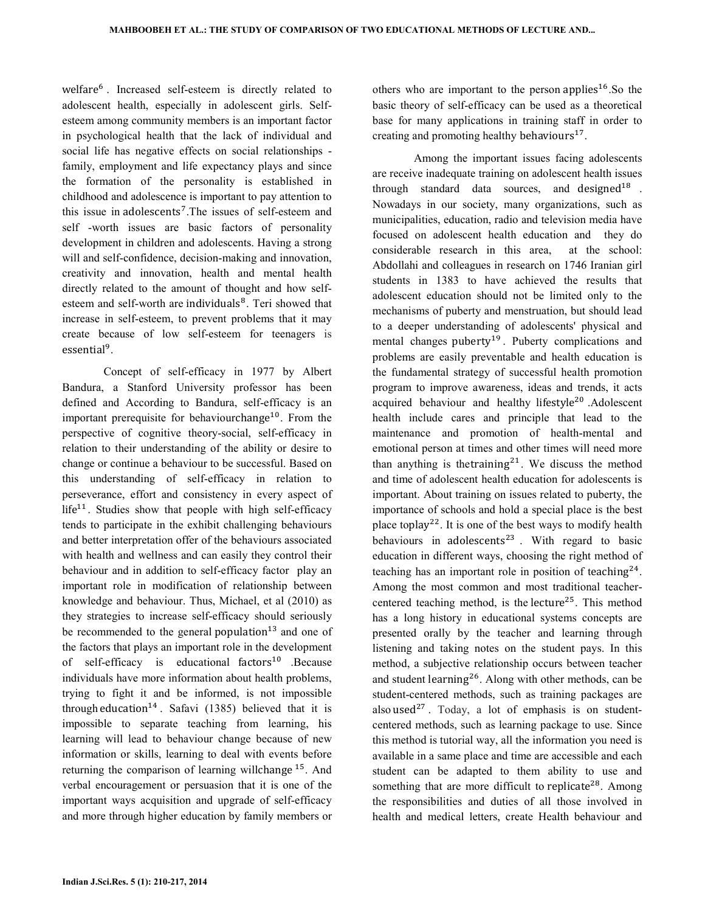welfare<sup>6</sup>. Increased self-esteem is directly related to adolescent health, especially in adolescent girls. Selfesteem among community members is an important factor in psychological health that the lack of individual and social life has negative effects on social relationships family, employment and life expectancy plays and since the formation of the personality is established in childhood and adolescence is important to pay attention to this issue in adolescents<sup>7</sup>. The issues of self-esteem and self -worth issues are basic factors of personality development in children and adolescents. Having a strong will and self-confidence, decision-making and innovation, creativity and innovation, health and mental health directly related to the amount of thought and how selfesteem and self-worth are individuals<sup>8</sup>. Teri showed that increase in self-esteem, to prevent problems that it may create because of low self-esteem for teenagers is essential<sup>9</sup>.

 Concept of self-efficacy in 1977 by Albert Bandura, a Stanford University professor has been defined and According to Bandura, self-efficacy is an important prerequisite for behaviourchange<sup>10</sup>. From the perspective of cognitive theory-social, self-efficacy in relation to their understanding of the ability or desire to change or continue a behaviour to be successful. Based on this understanding of self-efficacy in relation to perseverance, effort and consistency in every aspect of  $life<sup>11</sup>$ . Studies show that people with high self-efficacy tends to participate in the exhibit challenging behaviours and better interpretation offer of the behaviours associated with health and wellness and can easily they control their behaviour and in addition to self-efficacy factor play an important role in modification of relationship between knowledge and behaviour. Thus, Michael, et al (2010) as they strategies to increase self-efficacy should seriously be recommended to the general population<sup>13</sup> and one of the factors that plays an important role in the development of self-efficacy is educational factors<sup>10</sup> .Because individuals have more information about health problems, trying to fight it and be informed, is not impossible through education<sup>14</sup>. Safavi (1385) believed that it is impossible to separate teaching from learning, his learning will lead to behaviour change because of new information or skills, learning to deal with events before returning the comparison of learning will change  $15$ . And verbal encouragement or persuasion that it is one of the important ways acquisition and upgrade of self-efficacy and more through higher education by family members or

others who are important to the person applies<sup>16</sup>. So the basic theory of self-efficacy can be used as a theoretical base for many applications in training staff in order to creating and promoting healthy behaviours<sup>17</sup>.

 Among the important issues facing adolescents are receive inadequate training on adolescent health issues through standard data sources, and designed<sup>18</sup>. Nowadays in our society, many organizations, such as municipalities, education, radio and television media have focused on adolescent health education and they do considerable research in this area, at the school: Abdollahi and colleagues in research on 1746 Iranian girl students in 1383 to have achieved the results that adolescent education should not be limited only to the mechanisms of puberty and menstruation, but should lead to a deeper understanding of adolescents' physical and mental changes puberty<sup>19</sup>. Puberty complications and problems are easily preventable and health education is the fundamental strategy of successful health promotion program to improve awareness, ideas and trends, it acts acquired behaviour and healthy lifestyle<sup>20</sup> .Adolescent health include cares and principle that lead to the maintenance and promotion of health-mental and emotional person at times and other times will need more than anything is the training<sup>21</sup>. We discuss the method and time of adolescent health education for adolescents is important. About training on issues related to puberty, the importance of schools and hold a special place is the best place toplay<sup>22</sup>. It is one of the best ways to modify health behaviours in adolescents<sup>23</sup>. With regard to basic education in different ways, choosing the right method of teaching has an important role in position of teaching<sup>24</sup>. Among the most common and most traditional teachercentered teaching method, is the lecture<sup>25</sup>. This method has a long history in educational systems concepts are presented orally by the teacher and learning through listening and taking notes on the student pays. In this method, a subjective relationship occurs between teacher and student learning<sup>26</sup>. Along with other methods, can be student-centered methods, such as training packages are also used<sup>27</sup>. Today, a lot of emphasis is on studentcentered methods, such as learning package to use. Since this method is tutorial way, all the information you need is available in a same place and time are accessible and each student can be adapted to them ability to use and something that are more difficult to replicate<sup>28</sup>. Among the responsibilities and duties of all those involved in health and medical letters, create Health behaviour and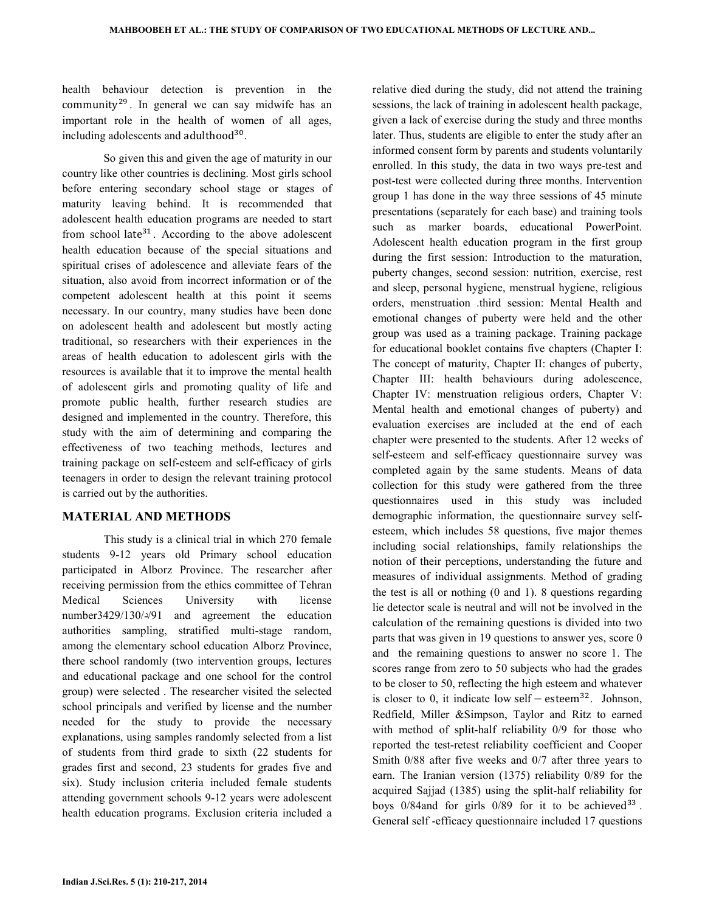health behaviour detection is prevention in the  $community<sup>29</sup>$ . In general we can say midwife has an important role in the health of women of all ages, including adolescents and adulthood<sup>30</sup>.

 So given this and given the age of maturity in our country like other countries is declining. Most girls school before entering secondary school stage or stages of maturity leaving behind. It is recommended that adolescent health education programs are needed to start from school late<sup>31</sup>. According to the above adolescent health education because of the special situations and spiritual crises of adolescence and alleviate fears of the situation, also avoid from incorrect information or of the competent adolescent health at this point it seems necessary. In our country, many studies have been done on adolescent health and adolescent but mostly acting traditional, so researchers with their experiences in the areas of health education to adolescent girls with the resources is available that it to improve the mental health of adolescent girls and promoting quality of life and promote public health, further research studies are designed and implemented in the country. Therefore, this study with the aim of determining and comparing the effectiveness of two teaching methods, lectures and training package on self-esteem and self-efficacy of girls teenagers in order to design the relevant training protocol is carried out by the authorities.

## MATERIAL AND METHODS

 This study is a clinical trial in which 270 female students 9-12 years old Primary school education participated in Alborz Province. The researcher after receiving permission from the ethics committee of Tehran Medical Sciences University with license number3429/130/ $\frac{91}{91}$  and agreement the education authorities sampling, stratified multi-stage random, among the elementary school education Alborz Province, there school randomly (two intervention groups, lectures and educational package and one school for the control group) were selected . The researcher visited the selected school principals and verified by license and the number needed for the study to provide the necessary explanations, using samples randomly selected from a list of students from third grade to sixth (22 students for grades first and second, 23 students for grades five and six). Study inclusion criteria included female students attending government schools 9-12 years were adolescent health education programs. Exclusion criteria included a

sessions, the lack of training in adolescent health package, given a lack of exercise during the study and three months later. Thus, students are eligible to enter the study after an informed consent form by parents and students voluntarily enrolled. In this study, the data in two ways pre-test and post-test were collected during three months. Intervention group 1 has done in the way three sessions of 45 minute presentations (separately for each base) and training tools such as marker boards, educational PowerPoint. Adolescent health education program in the first group during the first session: Introduction to the maturation, puberty changes, second session: nutrition, exercise, rest and sleep, personal hygiene, menstrual hygiene, religious orders, menstruation .third session: Mental Health and emotional changes of puberty were held and the other group was used as a training package. Training package for educational booklet contains five chapters (Chapter I: The concept of maturity, Chapter II: changes of puberty, Chapter III: health behaviours during adolescence, Chapter IV: menstruation religious orders, Chapter V: Mental health and emotional changes of puberty) and evaluation exercises are included at the end of each chapter were presented to the students. After 12 weeks of self-esteem and self-efficacy questionnaire survey was completed again by the same students. Means of data collection for this study were gathered from the three questionnaires used in this study was included demographic information, the questionnaire survey selfesteem, which includes 58 questions, five major themes including social relationships, family relationships the notion of their perceptions, understanding the future and measures of individual assignments. Method of grading the test is all or nothing (0 and 1). 8 questions regarding lie detector scale is neutral and will not be involved in the calculation of the remaining questions is divided into two parts that was given in 19 questions to answer yes, score 0 and the remaining questions to answer no score 1. The scores range from zero to 50 subjects who had the grades to be closer to 50, reflecting the high esteem and whatever is closer to 0, it indicate low self  $-$  esteem<sup>32</sup>. Johnson, Redfield, Miller &Simpson, Taylor and Ritz to earned with method of split-half reliability 0/9 for those who reported the test-retest reliability coefficient and Cooper Smith 0/88 after five weeks and 0/7 after three years to earn. The Iranian version (1375) reliability 0/89 for the acquired Sajjad (1385) using the split-half reliability for boys  $0/84$  and for girls  $0/89$  for it to be achieved<sup>33</sup>. General self -efficacy questionnaire included 17 questions

relative died during the study, did not attend the training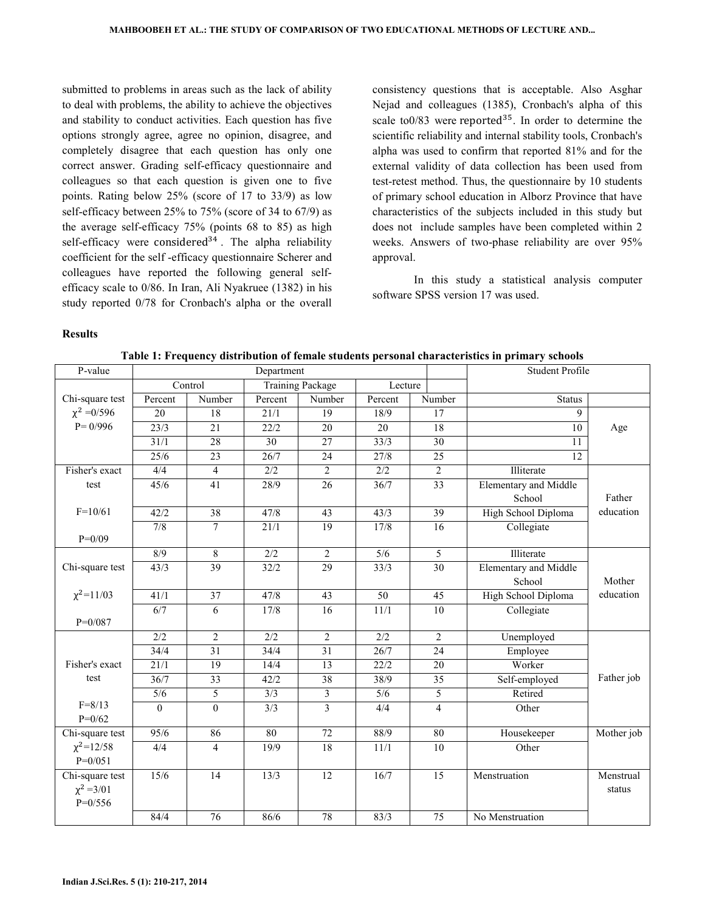submitted to problems in areas such as the lack of ability to deal with problems, the ability to achieve the objectives and stability to conduct activities. Each question has five options strongly agree, agree no opinion, disagree, and completely disagree that each question has only one correct answer. Grading self-efficacy questionnaire and colleagues so that each question is given one to five points. Rating below 25% (score of 17 to 33/9) as low self-efficacy between 25% to 75% (score of 34 to 67/9) as the average self-efficacy 75% (points 68 to 85) as high self-efficacy were considered<sup>34</sup>. The alpha reliability coefficient for the self -efficacy questionnaire Scherer and colleagues have reported the following general selfefficacy scale to 0/86. In Iran, Ali Nyakruee (1382) in his study reported 0/78 for Cronbach's alpha or the overall

consistency questions that is acceptable. Also Asghar Nejad and colleagues (1385), Cronbach's alpha of this scale to $0/83$  were reported<sup>35</sup>. In order to determine the scientific reliability and internal stability tools, Cronbach's alpha was used to confirm that reported 81% and for the external validity of data collection has been used from test-retest method. Thus, the questionnaire by 10 students of primary school education in Alborz Province that have characteristics of the subjects included in this study but does not include samples have been completed within 2 weeks. Answers of two-phase reliability are over 95% approval.

 In this study a statistical analysis computer software SPSS version 17 was used.

#### Results

| P-value          | Department               |                 |                  |                                    |                   | Student Profile |                              |            |
|------------------|--------------------------|-----------------|------------------|------------------------------------|-------------------|-----------------|------------------------------|------------|
|                  |                          | Control         |                  | <b>Training Package</b><br>Lecture |                   |                 |                              |            |
| Chi-square test  | Percent                  | Number          | Percent          | $\overline{\text{Number}}$         | Percent           | Number          | <b>Status</b>                |            |
| $\chi^2 = 0/596$ | $\overline{20}$          | 18              | 21/1             | 19                                 | 18/9              | 17              | 9                            |            |
| $P = 0/996$      | 23/3                     | $\overline{21}$ | 22/2             | 20                                 | 20                | 18              | 10                           | Age        |
|                  | 31/1                     | 28              | $\overline{30}$  | 27                                 | 33/3              | 30              | 11                           |            |
|                  | 25/6                     | $\overline{23}$ | 26/7             | 24                                 | 27/8              | $\overline{25}$ | 12                           |            |
| Fisher's exact   | 4/4                      | $\overline{4}$  | 2/2              | $\overline{2}$                     | 2/2               | $\overline{2}$  | Illiterate                   |            |
| test             | 45/6                     | $\overline{41}$ | 28/9             | 26                                 | $\overline{36/7}$ | 33              | <b>Elementary and Middle</b> |            |
|                  |                          |                 |                  |                                    |                   |                 | School                       | Father     |
| $F=10/61$        | 42/2                     | 38              | 47/8             | 43                                 | 43/3              | 39              | High School Diploma          | education  |
|                  | 7/8                      | $\overline{7}$  | 21/1             | 19                                 | 17/8              | 16              | Collegiate                   |            |
| $P=0/09$         |                          |                 |                  |                                    |                   |                 |                              |            |
|                  | 8/9                      | $\overline{8}$  | 2/2              | $\overline{2}$                     | 5/6               | $\overline{5}$  | Illiterate                   |            |
| Chi-square test  | 43/3                     | $\overline{39}$ | 32/2             | $\overline{29}$                    | 33/3              | $\overline{30}$ | Elementary and Middle        |            |
|                  |                          |                 |                  |                                    |                   |                 | School                       | Mother     |
| $\chi^2$ =11/03  | 41/1                     | $\overline{37}$ | 47/8             | 43                                 | $\overline{50}$   | 45              | High School Diploma          | education  |
|                  | 6/7                      | 6               | 17/8             | 16                                 | 11/1              | $\overline{10}$ | Collegiate                   |            |
| $P = 0/087$      |                          |                 |                  |                                    |                   |                 |                              |            |
|                  | $2/2$                    | $\sqrt{2}$      | 2/2              | $\sqrt{2}$                         | 2/2               | $\mathbf{2}$    | Unemployed                   |            |
|                  | 34/4                     | 31              | 34/4             | $\overline{31}$                    | 26/7              | $\overline{24}$ | Employee                     |            |
| Fisher's exact   | 21/1                     | $\overline{19}$ | 14/4             | 13                                 | 22/2              | 20              | Worker                       |            |
| test             | 36/7                     | 33              | 42/2             | 38                                 | 38/9              | 35              | Self-employed                | Father job |
| $F = 8/13$       | $\overline{\frac{5}{6}}$ | 5               | $\overline{3/3}$ | $\overline{3}$                     | $\overline{5/6}$  | 5               | Retired                      |            |
| $P = 0/62$       | $\theta$                 | $\overline{0}$  | 3/3              | 3                                  | 4/4               | $\overline{4}$  | Other                        |            |
| Chi-square test  | 95/6                     | 86              | 80               | 72                                 | 88/9              | 80              | Housekeeper                  | Mother job |
| $\chi^2$ =12/58  | 4/4                      | $\overline{4}$  | 19/9             | $\overline{18}$                    | 11/1              | 10              | Other                        |            |
| $P=0/051$        |                          |                 |                  |                                    |                   |                 |                              |            |
| Chi-square test  | 15/6                     | 14              | 13/3             | 12                                 | 16/7              | 15              | Menstruation                 | Menstrual  |
| $\chi^2 = 3/01$  |                          |                 |                  |                                    |                   |                 |                              | status     |
| $P=0/556$        |                          |                 |                  |                                    |                   |                 |                              |            |
|                  | 84/4                     | 76              | 86/6             | 78                                 | 83/3              | 75              | No Menstruation              |            |
|                  |                          |                 |                  |                                    |                   |                 |                              |            |

Table 1: Frequency distribution of female students personal characteristics in primary schools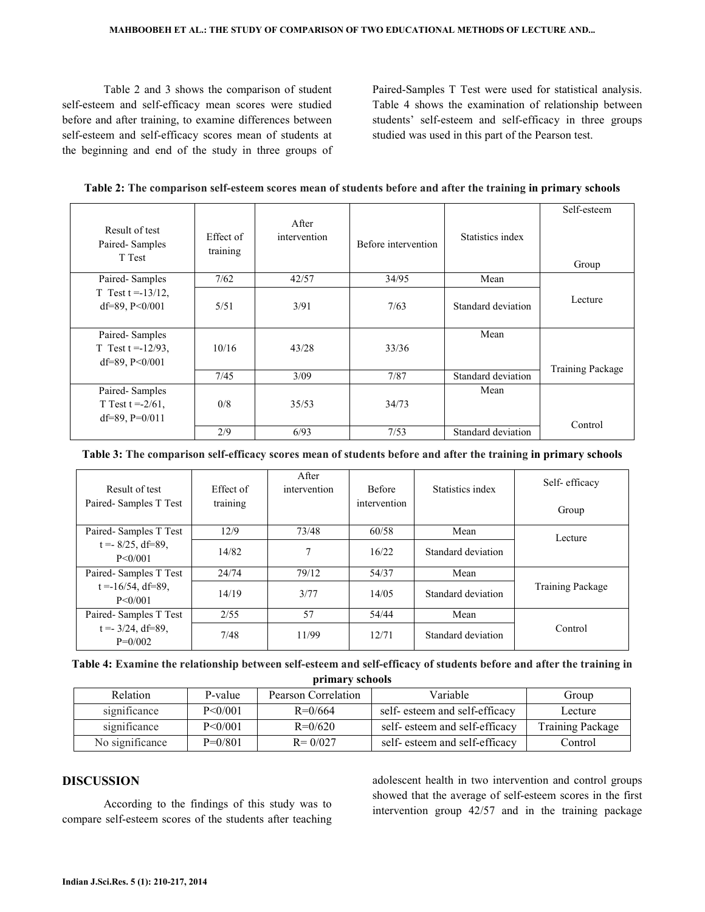Table 2 and 3 shows the comparison of student self-esteem and self-efficacy mean scores were studied before and after training, to examine differences between self-esteem and self-efficacy scores mean of students at the beginning and end of the study in three groups of Paired-Samples T Test were used for statistical analysis. Table 4 shows the examination of relationship between students' self-esteem and self-efficacy in three groups studied was used in this part of the Pearson test.

| Table 2: The comparison self-esteem scores mean of students before and after the training in primary schools |  |  |
|--------------------------------------------------------------------------------------------------------------|--|--|
|                                                                                                              |  |  |

| Result of test<br>Paired-Samples<br>T Test                    | Effect of<br>training | After<br>intervention | Before intervention | Statistics index   | Self-esteem<br>Group    |
|---------------------------------------------------------------|-----------------------|-----------------------|---------------------|--------------------|-------------------------|
| Paired-Samples                                                | 7/62                  | 42/57                 | 34/95               | Mean               |                         |
| T Test $t = -13/12$ ,<br>df=89, $P < 0/001$                   | 5/51                  | 3/91                  | 7/63                | Standard deviation | Lecture                 |
| Paired-Samples<br>T Test $t = -12/93$ ,<br>df=89, $P < 0/001$ | 10/16                 | 43/28                 | 33/36               | Mean               | <b>Training Package</b> |
|                                                               | 7/45                  | 3/09                  | 7/87                | Standard deviation |                         |
| Paired-Samples<br>T Test $t = -2/61$ ,<br>df=89, $P=0/011$    | 0/8                   | 35/53                 | 34/73               | Mean               |                         |
|                                                               | 2/9                   | 6/93                  | 7/53                | Standard deviation | Control                 |

Table 3: The comparison self-efficacy scores mean of students before and after the training in primary schools

| Result of test                     | Effect of | After<br>intervention | <b>Before</b> | Statistics index   | Self-efficacy    |
|------------------------------------|-----------|-----------------------|---------------|--------------------|------------------|
| Paired-Samples T Test              | training  |                       | intervention  |                    | Group            |
| Paired-Samples T Test              | 12/9      | 73/48                 | 60/58         | Mean               | Lecture          |
| $t = -8/25$ , df=89,<br>P < 0/001  | 14/82     | ┑                     | 16/22         | Standard deviation |                  |
| Paired-Samples T Test              | 24/74     | 79/12                 | 54/37         | Mean               |                  |
| $t = -16/54$ , df=89,<br>P < 0/001 | 14/19     | 3/77                  | 14/0.5        | Standard deviation | Training Package |
| Paired-Samples T Test              | 2/55      | 57                    | 54/44         | Mean               |                  |
| $t = -3/24$ , df=89,<br>$P=0/002$  | 7/48      | 11/99                 | 12/71         | Standard deviation | Control          |

| Table 4: Examine the relationship between self-esteem and self-efficacy of students before and after the training in |  |
|----------------------------------------------------------------------------------------------------------------------|--|
|----------------------------------------------------------------------------------------------------------------------|--|

primary schools

| Relation        | P-value   | Pearson Correlation | Variable                      | Group            |
|-----------------|-----------|---------------------|-------------------------------|------------------|
| significance    | P < 0/001 | $R = 0/664$         | self-esteem and self-efficacy | Lecture          |
| significance    | P < 0/001 | $R = 0/620$         | self-esteem and self-efficacy | Training Package |
| No significance | $P=0/801$ | $R = 0/027$         | self-esteem and self-efficacy | Control          |

## DISCUSSION

 According to the findings of this study was to compare self-esteem scores of the students after teaching adolescent health in two intervention and control groups showed that the average of self-esteem scores in the first intervention group 42/57 and in the training package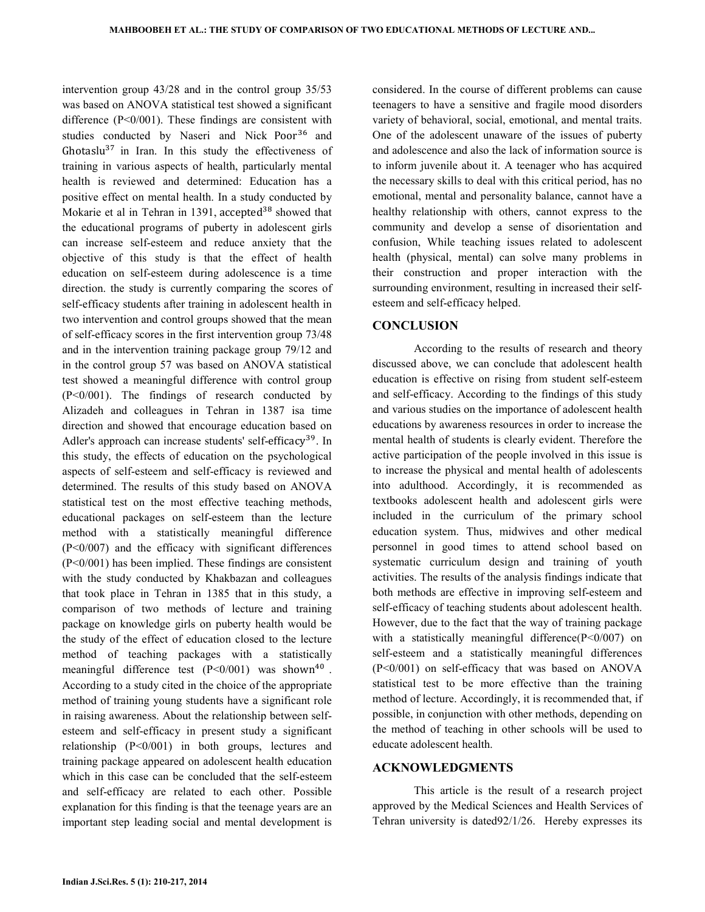intervention group 43/28 and in the control group 35/53 was based on ANOVA statistical test showed a significant difference  $(P<0/001)$ . These findings are consistent with studies conducted by Naseri and Nick Poor<sup>36</sup> and Ghotaslu<sup>37</sup> in Iran. In this study the effectiveness of training in various aspects of health, particularly mental health is reviewed and determined: Education has a positive effect on mental health. In a study conducted by Mokarie et al in Tehran in 1391, accepted<sup>38</sup> showed that the educational programs of puberty in adolescent girls can increase self-esteem and reduce anxiety that the objective of this study is that the effect of health education on self-esteem during adolescence is a time direction. the study is currently comparing the scores of self-efficacy students after training in adolescent health in two intervention and control groups showed that the mean of self-efficacy scores in the first intervention group 73/48 and in the intervention training package group 79/12 and in the control group 57 was based on ANOVA statistical test showed a meaningful difference with control group (P<0/001). The findings of research conducted by Alizadeh and colleagues in Tehran in 1387 isa time direction and showed that encourage education based on Adler's approach can increase students' self-efficacy<sup>39</sup>. In this study, the effects of education on the psychological aspects of self-esteem and self-efficacy is reviewed and determined. The results of this study based on ANOVA statistical test on the most effective teaching methods, educational packages on self-esteem than the lecture method with a statistically meaningful difference  $(P<0/007)$  and the efficacy with significant differences (P<0/001) has been implied. These findings are consistent with the study conducted by Khakbazan and colleagues that took place in Tehran in 1385 that in this study, a comparison of two methods of lecture and training package on knowledge girls on puberty health would be the study of the effect of education closed to the lecture method of teaching packages with a statistically meaningful difference test  $(P<0/001)$  was shown<sup>40</sup>. According to a study cited in the choice of the appropriate method of training young students have a significant role in raising awareness. About the relationship between selfesteem and self-efficacy in present study a significant relationship (P<0/001) in both groups, lectures and training package appeared on adolescent health education which in this case can be concluded that the self-esteem and self-efficacy are related to each other. Possible explanation for this finding is that the teenage years are an important step leading social and mental development is

considered. In the course of different problems can cause teenagers to have a sensitive and fragile mood disorders variety of behavioral, social, emotional, and mental traits. One of the adolescent unaware of the issues of puberty and adolescence and also the lack of information source is to inform juvenile about it. A teenager who has acquired the necessary skills to deal with this critical period, has no emotional, mental and personality balance, cannot have a healthy relationship with others, cannot express to the community and develop a sense of disorientation and confusion, While teaching issues related to adolescent health (physical, mental) can solve many problems in their construction and proper interaction with the surrounding environment, resulting in increased their selfesteem and self-efficacy helped.

### **CONCLUSION**

 According to the results of research and theory discussed above, we can conclude that adolescent health education is effective on rising from student self-esteem and self-efficacy. According to the findings of this study and various studies on the importance of adolescent health educations by awareness resources in order to increase the mental health of students is clearly evident. Therefore the active participation of the people involved in this issue is to increase the physical and mental health of adolescents into adulthood. Accordingly, it is recommended as textbooks adolescent health and adolescent girls were included in the curriculum of the primary school education system. Thus, midwives and other medical personnel in good times to attend school based on systematic curriculum design and training of youth activities. The results of the analysis findings indicate that both methods are effective in improving self-esteem and self-efficacy of teaching students about adolescent health. However, due to the fact that the way of training package with a statistically meaningful difference  $(P < 0/007)$  on self-esteem and a statistically meaningful differences (P<0/001) on self-efficacy that was based on ANOVA statistical test to be more effective than the training method of lecture. Accordingly, it is recommended that, if possible, in conjunction with other methods, depending on the method of teaching in other schools will be used to educate adolescent health.

## ACKNOWLEDGMENTS

 This article is the result of a research project approved by the Medical Sciences and Health Services of Tehran university is dated92/1/26. Hereby expresses its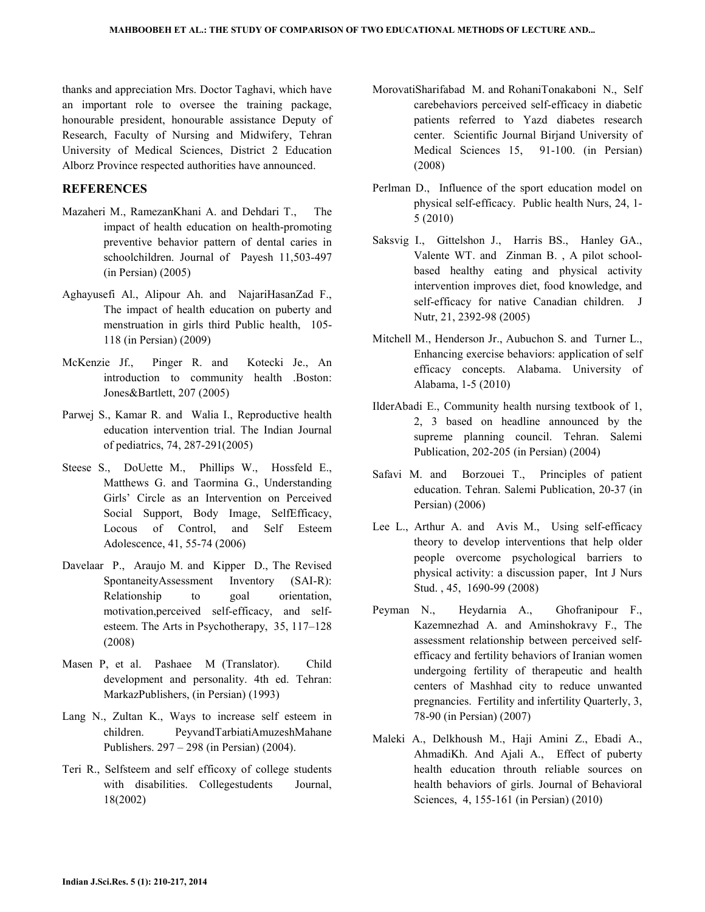thanks and appreciation Mrs. Doctor Taghavi, which have an important role to oversee the training package, honourable president, honourable assistance Deputy of Research, Faculty of Nursing and Midwifery, Tehran University of Medical Sciences, District 2 Education Alborz Province respected authorities have announced.

## **REFERENCES**

- Mazaheri M., RamezanKhani A. and Dehdari T., The impact of health education on health-promoting preventive behavior pattern of dental caries in schoolchildren. Journal of Payesh 11,503-497 (in Persian) (2005)
- Aghayusefi Al., Alipour Ah. and NajariHasanZad F., The impact of health education on puberty and menstruation in girls third Public health, 105- 118 (in Persian) (2009)
- McKenzie Jf., Pinger R. and Kotecki Je., An introduction to community health .Boston: Jones&Bartlett, 207 (2005)
- Parwej S., Kamar R. and Walia I., Reproductive health education intervention trial. The Indian Journal of pediatrics, 74, 287-291(2005)
- Steese S., DoUette M., Phillips W., Hossfeld E., Matthews G. and Taormina G., Understanding Girls' Circle as an Intervention on Perceived Social Support, Body Image, SelfEfficacy, Locous of Control, and Self Esteem Adolescence, 41, 55-74 (2006)
- Davelaar P., Araujo M. and Kipper D., The Revised SpontaneityAssessment Inventory (SAI-R): Relationship to goal orientation, motivation,perceived self-efficacy, and selfesteem. The Arts in Psychotherapy, 35, 117–128 (2008)
- Masen P, et al. Pashaee M (Translator). Child development and personality. 4th ed. Tehran: MarkazPublishers, (in Persian) (1993)
- Lang N., Zultan K., Ways to increase self esteem in children. PeyvandTarbiatiAmuzeshMahane Publishers. 297 – 298 (in Persian) (2004).
- Teri R., Selfsteem and self efficoxy of college students with disabilities. Collegestudents Journal, 18(2002)
- MorovatiSharifabad M. and RohaniTonakaboni N., Self carebehaviors perceived self-efficacy in diabetic patients referred to Yazd diabetes research center. Scientific Journal Birjand University of Medical Sciences 15, 91-100. (in Persian) (2008)
- Perlman D., Influence of the sport education model on physical self-efficacy. Public health Nurs, 24, 1- 5 (2010)
- Saksvig I., Gittelshon J., Harris BS., Hanley GA., Valente WT. and Zinman B. , A pilot schoolbased healthy eating and physical activity intervention improves diet, food knowledge, and self-efficacy for native Canadian children. J Nutr, 21, 2392-98 (2005)
- Mitchell M., Henderson Jr., Aubuchon S. and Turner L., Enhancing exercise behaviors: application of self efficacy concepts. Alabama. University of Alabama, 1-5 (2010)
- IlderAbadi E., Community health nursing textbook of 1, 2, 3 based on headline announced by the supreme planning council. Tehran. Salemi Publication, 202-205 (in Persian) (2004)
- Safavi M. and Borzouei T., Principles of patient education. Tehran. Salemi Publication, 20-37 (in Persian) (2006)
- Lee L., Arthur A. and Avis M., Using self-efficacy theory to develop interventions that help older people overcome psychological barriers to physical activity: a discussion paper, Int J Nurs Stud. , 45, 1690-99 (2008)
- Peyman N., Heydarnia A., Ghofranipour F., Kazemnezhad A. and Aminshokravy F., The assessment relationship between perceived selfefficacy and fertility behaviors of Iranian women undergoing fertility of therapeutic and health centers of Mashhad city to reduce unwanted pregnancies. Fertility and infertility Quarterly, 3, 78-90 (in Persian) (2007)
- Maleki A., Delkhoush M., Haji Amini Z., Ebadi A., AhmadiKh. And Ajali A., Effect of puberty health education throuth reliable sources on health behaviors of girls. Journal of Behavioral Sciences, 4, 155-161 (in Persian) (2010)